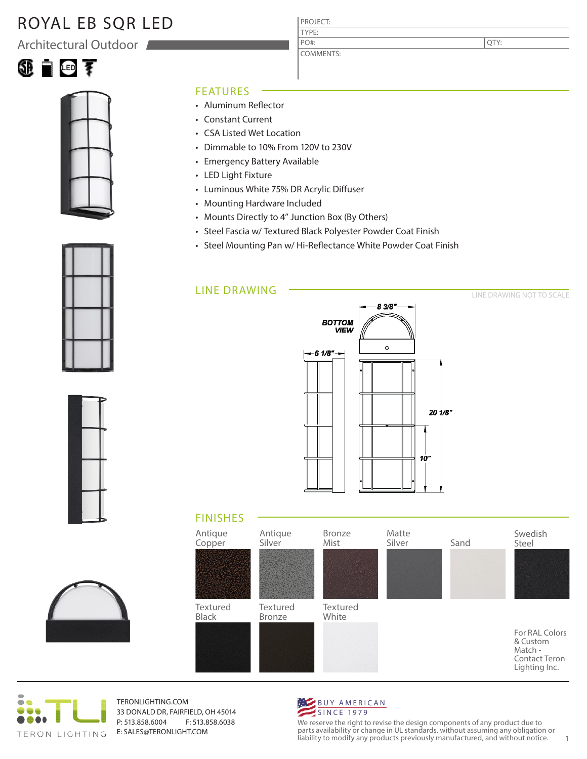## ROYAL EB SQR LED

Architectural Outdoor





#### FEATURES

- Aluminum Reflector
- Constant Current
- CSA Listed Wet Location
- Dimmable to 10% From 120V to 230V
- Emergency Battery Available
- LED Light Fixture
- Luminous White 75% DR Acrylic Diffuser
- Mounting Hardware Included
- Mounts Directly to 4" Junction Box (By Others)
- Steel Fascia w/ Textured Black Polyester Powder Coat Finish

PROJECT: TYPE:

PO#:

COMMENTS:

• Steel Mounting Pan w/ Hi-Reflectance White Powder Coat Finish

### LINE DRAWING



### FINISHES





TERONLIGHTING.COM 33 DONALD DR, FAIRFIELD, OH 45014 P: 513.858.6004 F: 513.858.6038 E: SALES@TERONLIGHT.COM



We reserve the right to revise the design components of any product due to parts availability or change in UL standards, without assuming any obligation or liability to modify any products previously manufactured, and without notice. 1







LINE DRAWING NOT TO SCALE